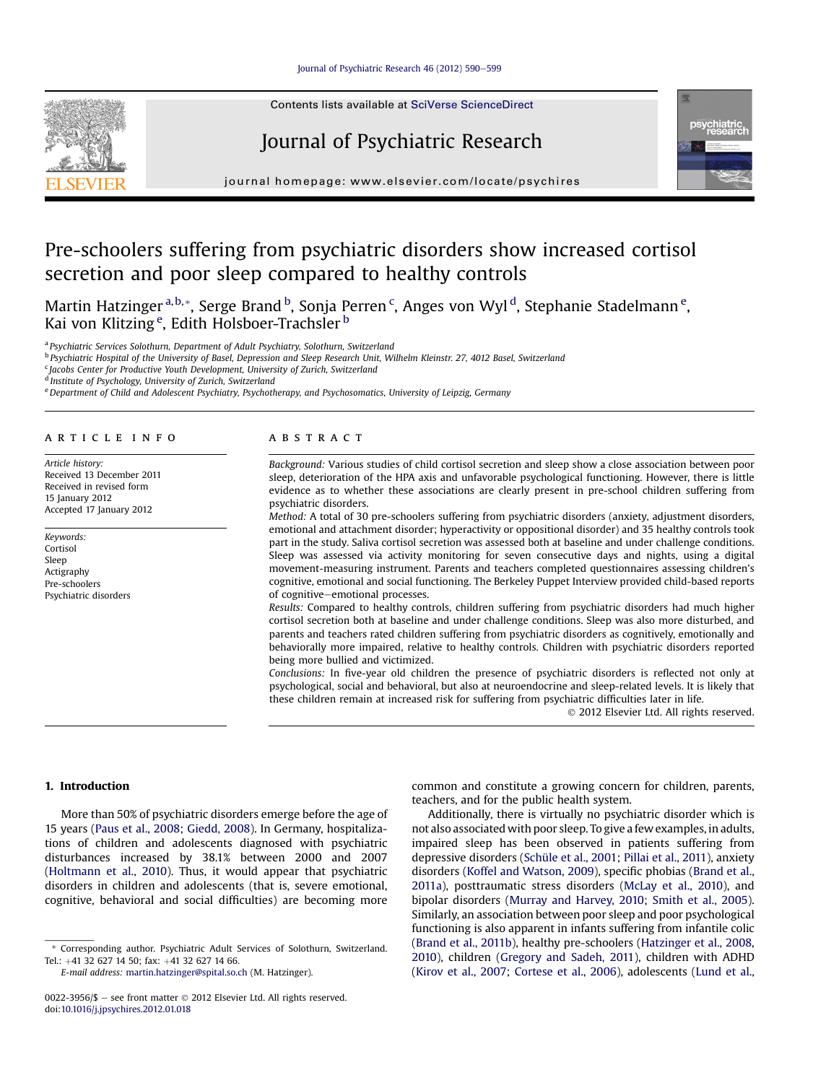Contents lists available at SciVerse ScienceDirect

# Journal of Psychiatric Research



 $j<sub>i</sub>$  and the page: where  $i<sub>i</sub>$  is the company companion

# Pre-schoolers suffering from psychiatric disorders show increased cortisol secretion and poor sleep compared to healthy controls

Martin Hatzinger <sup>a, b,</sup>\*, Serge Brand <sup>b</sup>, Sonja Perren <sup>c</sup>, Anges von Wyl <sup>d</sup>, Stephanie Stadelmann <sup>e</sup>, Kai von Klitzing<sup>e</sup>, Edith Holsboer-Trachsler <sup>b</sup>

a Psychiatric Services Solothurn, Department of Adult Psychiatry, Solothurn, Switzerland

<sup>b</sup> Psychiatric Hospital of the University of Basel, Depression and Sleep Research Unit, Wilhelm Kleinstr. 27, 4012 Basel, Switzerland

 $\epsilon$  Jacobs Center for Productive Youth Development, University of Zurich, Switzerland

<sup>d</sup> Institute of Psychology, University of Zurich, Switzerland

e Department of Child and Adolescent Psychiatry, Psychotherapy, and Psychosomatics, University of Leipzig, Germany

### article info

Article history: Received 13 December 2011 Received in revised form 15 January 2012 Accepted 17 January 2012

Keywords: Cortisol Sleep Actigraphy Pre-schoolers Psychiatric disorders

# A B S T R A C T

Background: Various studies of child cortisol secretion and sleep show a close association between poor sleep, deterioration of the HPA axis and unfavorable psychological functioning. However, there is little evidence as to whether these associations are clearly present in pre-school children suffering from psychiatric disorders.

Method: A total of 30 pre-schoolers suffering from psychiatric disorders (anxiety, adjustment disorders, emotional and attachment disorder; hyperactivity or oppositional disorder) and 35 healthy controls took part in the study. Saliva cortisol secretion was assessed both at baseline and under challenge conditions. Sleep was assessed via activity monitoring for seven consecutive days and nights, using a digital movement-measuring instrument. Parents and teachers completed questionnaires assessing children's cognitive, emotional and social functioning. The Berkeley Puppet Interview provided child-based reports of cognitive-emotional processes.

Results: Compared to healthy controls, children suffering from psychiatric disorders had much higher cortisol secretion both at baseline and under challenge conditions. Sleep was also more disturbed, and parents and teachers rated children suffering from psychiatric disorders as cognitively, emotionally and behaviorally more impaired, relative to healthy controls. Children with psychiatric disorders reported being more bullied and victimized.

Conclusions: In five-year old children the presence of psychiatric disorders is reflected not only at psychological, social and behavioral, but also at neuroendocrine and sleep-related levels. It is likely that these children remain at increased risk for suffering from psychiatric difficulties later in life.

2012 Elsevier Ltd. All rights reserved.

## 1. Introduction

More than 50% of psychiatric disorders emerge before the age of 15 years (Paus et al., 2008; Giedd, 2008). In Germany, hospitalizations of children and adolescents diagnosed with psychiatric disturbances increased by 38.1% between 2000 and 2007 (Holtmann et al., 2010). Thus, it would appear that psychiatric disorders in children and adolescents (that is, severe emotional, cognitive, behavioral and social difficulties) are becoming more

E-mail address: [martin.hatzinger@spital.so.ch](mailto:martin.hatzinger@spital.so.ch) (M. Hatzinger).

common and constitute a growing concern for children, parents, teachers, and for the public health system.

Additionally, there is virtually no psychiatric disorder which is not also associated with poor sleep. To give a few examples, in adults, impaired sleep has been observed in patients suffering from depressive disorders (Schüle et al., 2001; Pillai et al., 2011), anxiety disorders (Koffel and Watson, 2009), specific phobias (Brand et al., 2011a), posttraumatic stress disorders (McLay et al., 2010), and bipolar disorders (Murray and Harvey, 2010; Smith et al., 2005). Similarly, an association between poor sleep and poor psychological functioning is also apparent in infants suffering from infantile colic (Brand et al., 2011b), healthy pre-schoolers (Hatzinger et al., 2008, 2010), children (Gregory and Sadeh, 2011), children with ADHD (Kirov et al., 2007; Cortese et al., 2006), adolescents (Lund et al.,

<sup>\*</sup> Corresponding author. Psychiatric Adult Services of Solothurn, Switzerland. Tel.: +41 32 627 14 50; fax: +41 32 627 14 66.

<sup>0022-3956/\$</sup>  $-$  see front matter  $\odot$  2012 Elsevier Ltd. All rights reserved. doi:[10.1016/j.jpsychires.2012.01.018](http://dx.doi.org/10.1016/j.jpsychires.2012.01.018)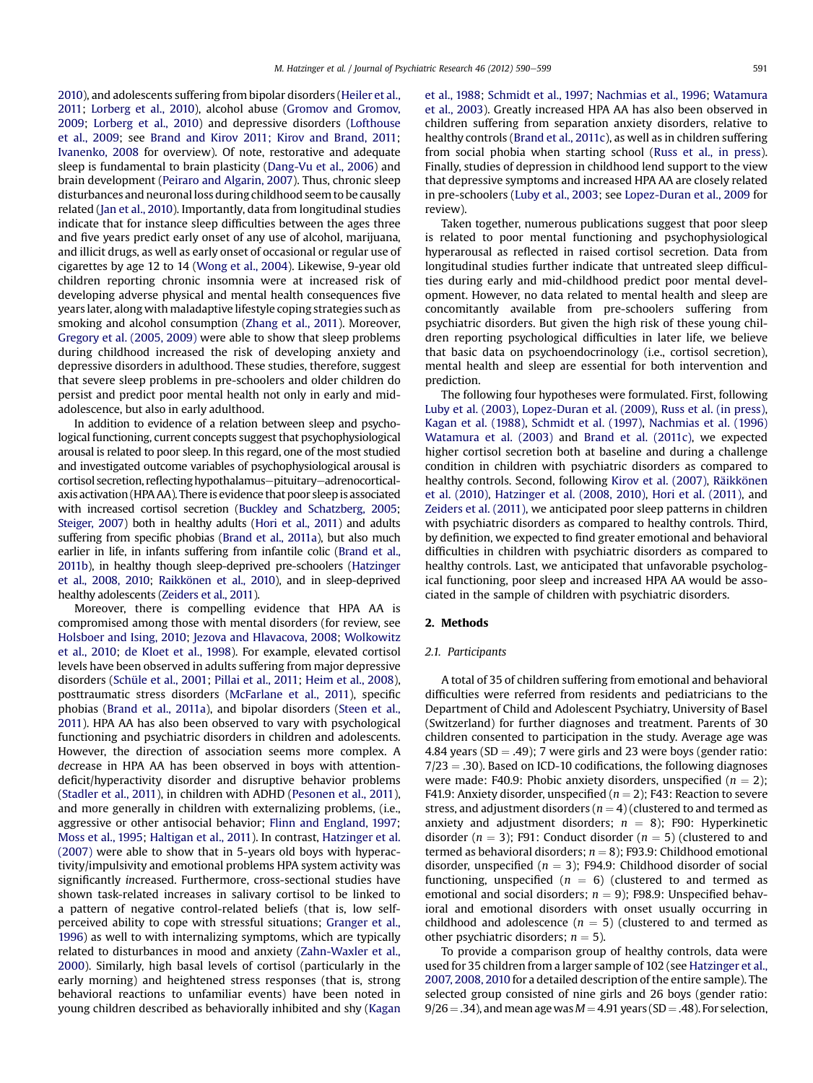2010), and adolescents suffering from bipolar disorders (Heiler et al., 2011; Lorberg et al., 2010), alcohol abuse (Gromov and Gromov, 2009; Lorberg et al., 2010) and depressive disorders (Lofthouse et al., 2009; see Brand and Kirov 2011; Kirov and Brand, 2011; Ivanenko, 2008 for overview). Of note, restorative and adequate sleep is fundamental to brain plasticity (Dang-Vu et al., 2006) and brain development (Peiraro and Algarin, 2007). Thus, chronic sleep disturbances and neuronal loss during childhood seem to be causally related (Jan et al., 2010). Importantly, data from longitudinal studies indicate that for instance sleep difficulties between the ages three and five years predict early onset of any use of alcohol, marijuana, and illicit drugs, as well as early onset of occasional or regular use of cigarettes by age 12 to 14 (Wong et al., 2004). Likewise, 9-year old children reporting chronic insomnia were at increased risk of developing adverse physical and mental health consequences five years later, along with maladaptive lifestyle coping strategies such as smoking and alcohol consumption (Zhang et al., 2011). Moreover, Gregory et al. (2005, 2009) were able to show that sleep problems during childhood increased the risk of developing anxiety and depressive disorders in adulthood. These studies, therefore, suggest that severe sleep problems in pre-schoolers and older children do persist and predict poor mental health not only in early and midadolescence, but also in early adulthood.

In addition to evidence of a relation between sleep and psychological functioning, current concepts suggest that psychophysiological arousal is related to poor sleep. In this regard, one of the most studied and investigated outcome variables of psychophysiological arousal is cortisol secretion, reflecting hypothalamus-pituitary-adrenocorticalaxis activation (HPA AA). There is evidence that poor sleep is associated with increased cortisol secretion (Buckley and Schatzberg, 2005; Steiger, 2007) both in healthy adults (Hori et al., 2011) and adults suffering from specific phobias (Brand et al., 2011a), but also much earlier in life, in infants suffering from infantile colic (Brand et al., 2011b), in healthy though sleep-deprived pre-schoolers (Hatzinger et al., 2008, 2010; Raikkönen et al., 2010), and in sleep-deprived healthy adolescents (Zeiders et al., 2011).

Moreover, there is compelling evidence that HPA AA is compromised among those with mental disorders (for review, see Holsboer and Ising, 2010; Jezova and Hlavacova, 2008; Wolkowitz et al., 2010; de Kloet et al., 1998). For example, elevated cortisol levels have been observed in adults suffering from major depressive disorders (Schüle et al., 2001; Pillai et al., 2011; Heim et al., 2008), posttraumatic stress disorders (McFarlane et al., 2011), specific phobias (Brand et al., 2011a), and bipolar disorders (Steen et al., 2011). HPA AA has also been observed to vary with psychological functioning and psychiatric disorders in children and adolescents. However, the direction of association seems more complex. A decrease in HPA AA has been observed in boys with attentiondeficit/hyperactivity disorder and disruptive behavior problems (Stadler et al., 2011), in children with ADHD (Pesonen et al., 2011), and more generally in children with externalizing problems, (i.e., aggressive or other antisocial behavior; Flinn and England, 1997; Moss et al., 1995; Haltigan et al., 2011). In contrast, Hatzinger et al. (2007) were able to show that in 5-years old boys with hyperactivity/impulsivity and emotional problems HPA system activity was significantly increased. Furthermore, cross-sectional studies have shown task-related increases in salivary cortisol to be linked to a pattern of negative control-related beliefs (that is, low selfperceived ability to cope with stressful situations; Granger et al., 1996) as well to with internalizing symptoms, which are typically related to disturbances in mood and anxiety (Zahn-Waxler et al., 2000). Similarly, high basal levels of cortisol (particularly in the early morning) and heightened stress responses (that is, strong behavioral reactions to unfamiliar events) have been noted in young children described as behaviorally inhibited and shy (Kagan et al., 1988; Schmidt et al., 1997; Nachmias et al., 1996; Watamura et al., 2003). Greatly increased HPA AA has also been observed in children suffering from separation anxiety disorders, relative to healthy controls (Brand et al., 2011c), as well as in children suffering from social phobia when starting school (Russ et al., in press). Finally, studies of depression in childhood lend support to the view that depressive symptoms and increased HPA AA are closely related in pre-schoolers (Luby et al., 2003; see Lopez-Duran et al., 2009 for review).

Taken together, numerous publications suggest that poor sleep is related to poor mental functioning and psychophysiological hyperarousal as reflected in raised cortisol secretion. Data from longitudinal studies further indicate that untreated sleep difficulties during early and mid-childhood predict poor mental development. However, no data related to mental health and sleep are concomitantly available from pre-schoolers suffering from psychiatric disorders. But given the high risk of these young children reporting psychological difficulties in later life, we believe that basic data on psychoendocrinology (i.e., cortisol secretion), mental health and sleep are essential for both intervention and prediction.

The following four hypotheses were formulated. First, following Luby et al. (2003), Lopez-Duran et al. (2009), Russ et al. (in press), Kagan et al. (1988), Schmidt et al. (1997), Nachmias et al. (1996) Watamura et al. (2003) and Brand et al. (2011c), we expected higher cortisol secretion both at baseline and during a challenge condition in children with psychiatric disorders as compared to healthy controls. Second, following Kirov et al. (2007), Räikkönen et al. (2010), Hatzinger et al. (2008, 2010), Hori et al. (2011), and Zeiders et al. (2011), we anticipated poor sleep patterns in children with psychiatric disorders as compared to healthy controls. Third, by definition, we expected to find greater emotional and behavioral difficulties in children with psychiatric disorders as compared to healthy controls. Last, we anticipated that unfavorable psychological functioning, poor sleep and increased HPA AA would be associated in the sample of children with psychiatric disorders.

#### 2. Methods

### 2.1. Participants

A total of 35 of children suffering from emotional and behavioral difficulties were referred from residents and pediatricians to the Department of Child and Adolescent Psychiatry, University of Basel (Switzerland) for further diagnoses and treatment. Parents of 30 children consented to participation in the study. Average age was 4.84 years (SD = .49); 7 were girls and 23 were boys (gender ratio:  $7/23 = .30$ ). Based on ICD-10 codifications, the following diagnoses were made: F40.9: Phobic anxiety disorders, unspecified  $(n = 2)$ ; F41.9: Anxiety disorder, unspecified ( $n = 2$ ); F43: Reaction to severe stress, and adjustment disorders  $(n = 4)$  (clustered to and termed as anxiety and adjustment disorders;  $n = 8$ ); F90: Hyperkinetic disorder ( $n = 3$ ); F91: Conduct disorder ( $n = 5$ ) (clustered to and termed as behavioral disorders;  $n = 8$ ); F93.9: Childhood emotional disorder, unspecified ( $n = 3$ ); F94.9: Childhood disorder of social functioning, unspecified ( $n = 6$ ) (clustered to and termed as emotional and social disorders;  $n = 9$ ); F98.9: Unspecified behavioral and emotional disorders with onset usually occurring in childhood and adolescence ( $n = 5$ ) (clustered to and termed as other psychiatric disorders;  $n = 5$ ).

To provide a comparison group of healthy controls, data were used for 35 children from a larger sample of 102 (see Hatzinger et al., 2007, 2008, 2010 for a detailed description of the entire sample). The selected group consisted of nine girls and 26 boys (gender ratio:  $9/26 = .34$ ), and mean age was  $M = 4.91$  years (SD = .48). For selection,